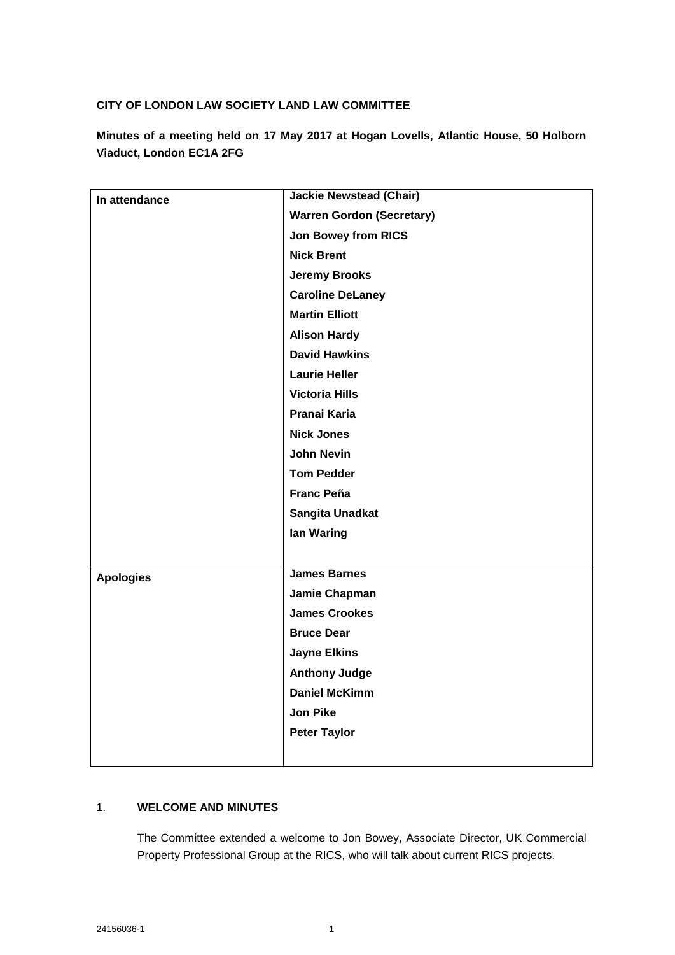## **CITY OF LONDON LAW SOCIETY LAND LAW COMMITTEE**

**Minutes of a meeting held on 17 May 2017 at Hogan Lovells, Atlantic House, 50 Holborn Viaduct, London EC1A 2FG**

| In attendance    | <b>Jackie Newstead (Chair)</b>   |
|------------------|----------------------------------|
|                  | <b>Warren Gordon (Secretary)</b> |
|                  | <b>Jon Bowey from RICS</b>       |
|                  | <b>Nick Brent</b>                |
|                  | <b>Jeremy Brooks</b>             |
|                  | <b>Caroline DeLaney</b>          |
|                  | <b>Martin Elliott</b>            |
|                  | <b>Alison Hardy</b>              |
|                  | <b>David Hawkins</b>             |
|                  | <b>Laurie Heller</b>             |
|                  | <b>Victoria Hills</b>            |
|                  | Pranai Karia                     |
|                  | <b>Nick Jones</b>                |
|                  | <b>John Nevin</b>                |
|                  | <b>Tom Pedder</b>                |
|                  | <b>Franc Peña</b>                |
|                  | Sangita Unadkat                  |
|                  | lan Waring                       |
|                  |                                  |
| <b>Apologies</b> | <b>James Barnes</b>              |
|                  | Jamie Chapman                    |
|                  | <b>James Crookes</b>             |
|                  | <b>Bruce Dear</b>                |
|                  | <b>Jayne Elkins</b>              |
|                  | <b>Anthony Judge</b>             |
|                  | <b>Daniel McKimm</b>             |
|                  | <b>Jon Pike</b>                  |
|                  | <b>Peter Taylor</b>              |
|                  |                                  |

## 1. **WELCOME AND MINUTES**

The Committee extended a welcome to Jon Bowey, Associate Director, UK Commercial Property Professional Group at the RICS, who will talk about current RICS projects.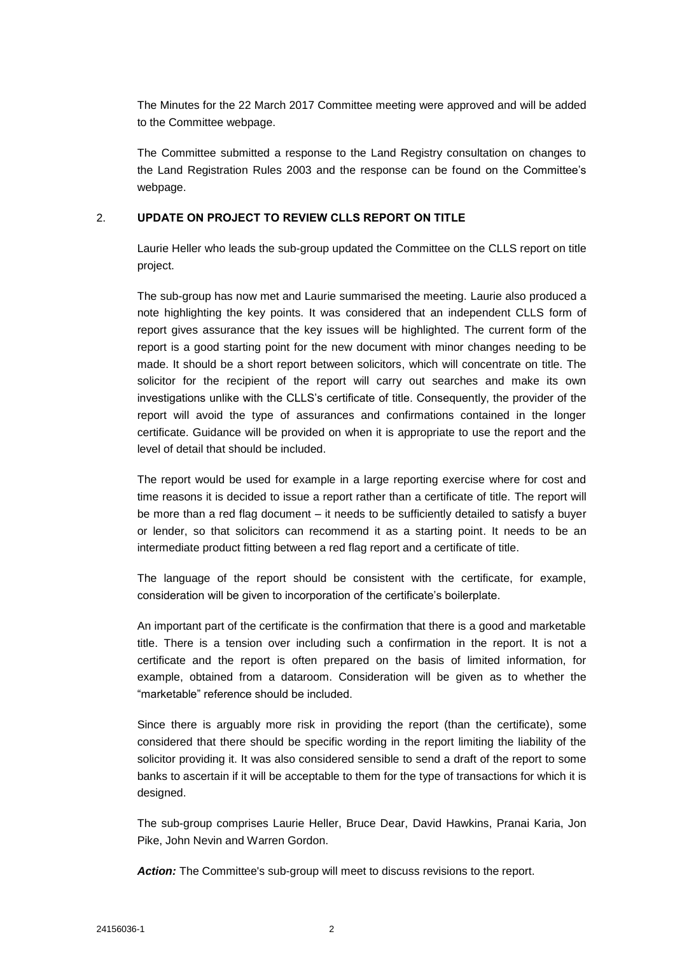The Minutes for the 22 March 2017 Committee meeting were approved and will be added to the Committee webpage.

The Committee submitted a response to the Land Registry consultation on changes to the Land Registration Rules 2003 and the response can be found on the Committee's webpage.

### 2. **UPDATE ON PROJECT TO REVIEW CLLS REPORT ON TITLE**

Laurie Heller who leads the sub-group updated the Committee on the CLLS report on title project.

The sub-group has now met and Laurie summarised the meeting. Laurie also produced a note highlighting the key points. It was considered that an independent CLLS form of report gives assurance that the key issues will be highlighted. The current form of the report is a good starting point for the new document with minor changes needing to be made. It should be a short report between solicitors, which will concentrate on title. The solicitor for the recipient of the report will carry out searches and make its own investigations unlike with the CLLS's certificate of title. Consequently, the provider of the report will avoid the type of assurances and confirmations contained in the longer certificate. Guidance will be provided on when it is appropriate to use the report and the level of detail that should be included.

The report would be used for example in a large reporting exercise where for cost and time reasons it is decided to issue a report rather than a certificate of title. The report will be more than a red flag document – it needs to be sufficiently detailed to satisfy a buyer or lender, so that solicitors can recommend it as a starting point. It needs to be an intermediate product fitting between a red flag report and a certificate of title.

The language of the report should be consistent with the certificate, for example, consideration will be given to incorporation of the certificate's boilerplate.

An important part of the certificate is the confirmation that there is a good and marketable title. There is a tension over including such a confirmation in the report. It is not a certificate and the report is often prepared on the basis of limited information, for example, obtained from a dataroom. Consideration will be given as to whether the "marketable" reference should be included.

Since there is arguably more risk in providing the report (than the certificate), some considered that there should be specific wording in the report limiting the liability of the solicitor providing it. It was also considered sensible to send a draft of the report to some banks to ascertain if it will be acceptable to them for the type of transactions for which it is designed.

The sub-group comprises Laurie Heller, Bruce Dear, David Hawkins, Pranai Karia, Jon Pike, John Nevin and Warren Gordon.

Action: The Committee's sub-group will meet to discuss revisions to the report.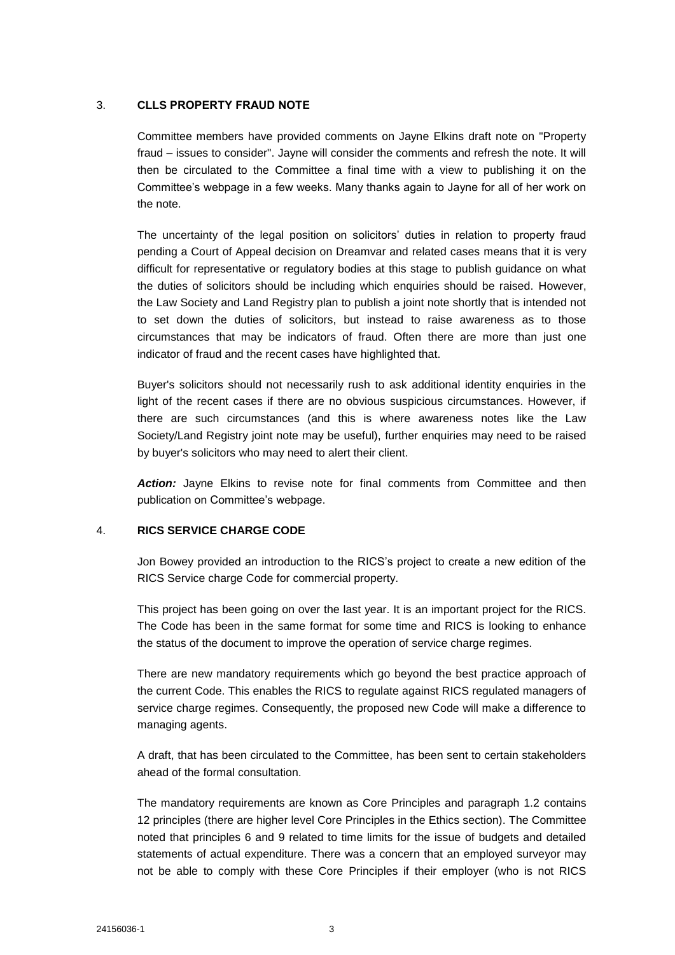#### 3. **CLLS PROPERTY FRAUD NOTE**

Committee members have provided comments on Jayne Elkins draft note on "Property fraud – issues to consider". Jayne will consider the comments and refresh the note. It will then be circulated to the Committee a final time with a view to publishing it on the Committee's webpage in a few weeks. Many thanks again to Jayne for all of her work on the note.

The uncertainty of the legal position on solicitors' duties in relation to property fraud pending a Court of Appeal decision on Dreamvar and related cases means that it is very difficult for representative or regulatory bodies at this stage to publish guidance on what the duties of solicitors should be including which enquiries should be raised. However, the Law Society and Land Registry plan to publish a joint note shortly that is intended not to set down the duties of solicitors, but instead to raise awareness as to those circumstances that may be indicators of fraud. Often there are more than just one indicator of fraud and the recent cases have highlighted that.

Buyer's solicitors should not necessarily rush to ask additional identity enquiries in the light of the recent cases if there are no obvious suspicious circumstances. However, if there are such circumstances (and this is where awareness notes like the Law Society/Land Registry joint note may be useful), further enquiries may need to be raised by buyer's solicitors who may need to alert their client.

*Action:* Jayne Elkins to revise note for final comments from Committee and then publication on Committee's webpage.

#### 4. **RICS SERVICE CHARGE CODE**

Jon Bowey provided an introduction to the RICS's project to create a new edition of the RICS Service charge Code for commercial property.

This project has been going on over the last year. It is an important project for the RICS. The Code has been in the same format for some time and RICS is looking to enhance the status of the document to improve the operation of service charge regimes.

There are new mandatory requirements which go beyond the best practice approach of the current Code. This enables the RICS to regulate against RICS regulated managers of service charge regimes. Consequently, the proposed new Code will make a difference to managing agents.

A draft, that has been circulated to the Committee, has been sent to certain stakeholders ahead of the formal consultation.

The mandatory requirements are known as Core Principles and paragraph 1.2 contains 12 principles (there are higher level Core Principles in the Ethics section). The Committee noted that principles 6 and 9 related to time limits for the issue of budgets and detailed statements of actual expenditure. There was a concern that an employed surveyor may not be able to comply with these Core Principles if their employer (who is not RICS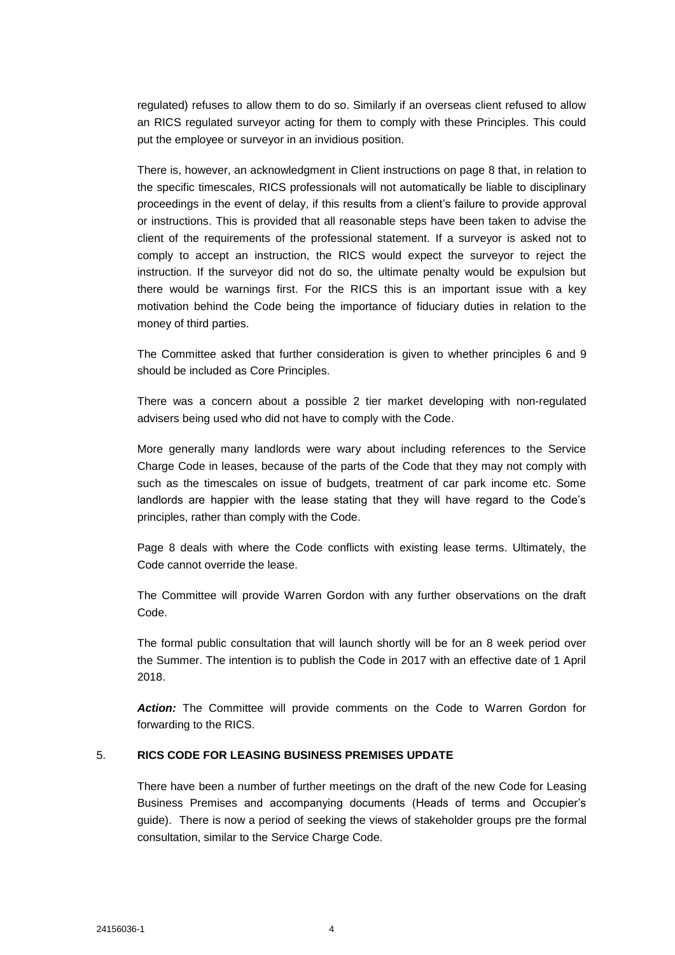regulated) refuses to allow them to do so. Similarly if an overseas client refused to allow an RICS regulated surveyor acting for them to comply with these Principles. This could put the employee or surveyor in an invidious position.

There is, however, an acknowledgment in Client instructions on page 8 that, in relation to the specific timescales, RICS professionals will not automatically be liable to disciplinary proceedings in the event of delay, if this results from a client's failure to provide approval or instructions. This is provided that all reasonable steps have been taken to advise the client of the requirements of the professional statement. If a surveyor is asked not to comply to accept an instruction, the RICS would expect the surveyor to reject the instruction. If the surveyor did not do so, the ultimate penalty would be expulsion but there would be warnings first. For the RICS this is an important issue with a key motivation behind the Code being the importance of fiduciary duties in relation to the money of third parties.

The Committee asked that further consideration is given to whether principles 6 and 9 should be included as Core Principles.

There was a concern about a possible 2 tier market developing with non-regulated advisers being used who did not have to comply with the Code.

More generally many landlords were wary about including references to the Service Charge Code in leases, because of the parts of the Code that they may not comply with such as the timescales on issue of budgets, treatment of car park income etc. Some landlords are happier with the lease stating that they will have regard to the Code's principles, rather than comply with the Code.

Page 8 deals with where the Code conflicts with existing lease terms. Ultimately, the Code cannot override the lease.

The Committee will provide Warren Gordon with any further observations on the draft Code.

The formal public consultation that will launch shortly will be for an 8 week period over the Summer. The intention is to publish the Code in 2017 with an effective date of 1 April 2018.

*Action:* The Committee will provide comments on the Code to Warren Gordon for forwarding to the RICS.

#### 5. **RICS CODE FOR LEASING BUSINESS PREMISES UPDATE**

There have been a number of further meetings on the draft of the new Code for Leasing Business Premises and accompanying documents (Heads of terms and Occupier's guide). There is now a period of seeking the views of stakeholder groups pre the formal consultation, similar to the Service Charge Code.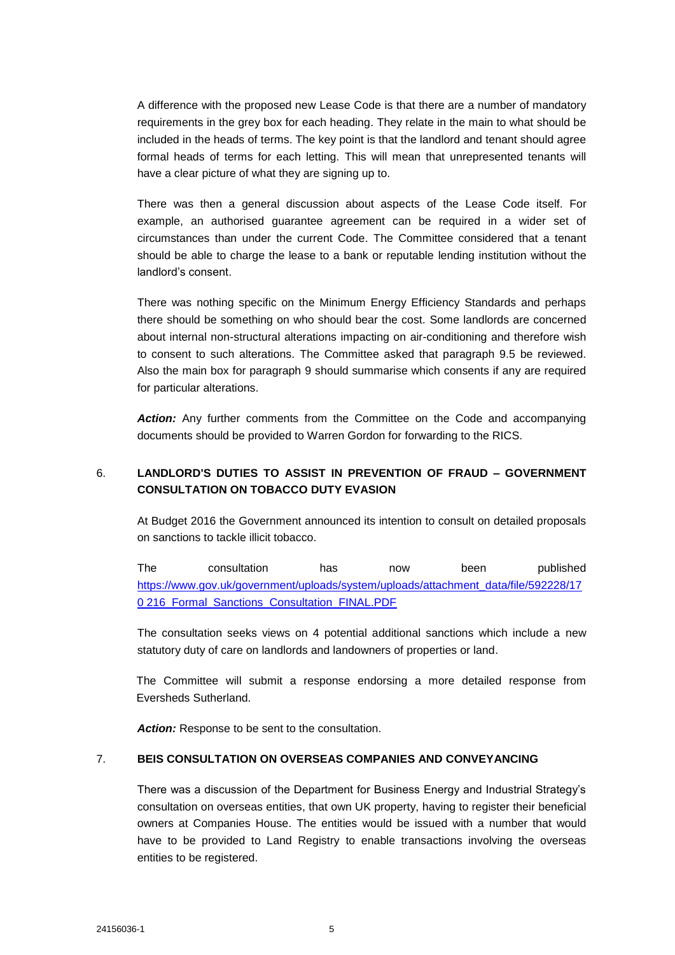A difference with the proposed new Lease Code is that there are a number of mandatory requirements in the grey box for each heading. They relate in the main to what should be included in the heads of terms. The key point is that the landlord and tenant should agree formal heads of terms for each letting. This will mean that unrepresented tenants will have a clear picture of what they are signing up to.

There was then a general discussion about aspects of the Lease Code itself. For example, an authorised guarantee agreement can be required in a wider set of circumstances than under the current Code. The Committee considered that a tenant should be able to charge the lease to a bank or reputable lending institution without the landlord's consent.

There was nothing specific on the Minimum Energy Efficiency Standards and perhaps there should be something on who should bear the cost. Some landlords are concerned about internal non-structural alterations impacting on air-conditioning and therefore wish to consent to such alterations. The Committee asked that paragraph 9.5 be reviewed. Also the main box for paragraph 9 should summarise which consents if any are required for particular alterations.

*Action:* Any further comments from the Committee on the Code and accompanying documents should be provided to Warren Gordon for forwarding to the RICS.

# 6. **LANDLORD'S DUTIES TO ASSIST IN PREVENTION OF FRAUD – GOVERNMENT CONSULTATION ON TOBACCO DUTY EVASION**

At Budget 2016 the Government announced its intention to consult on detailed proposals on sanctions to tackle illicit tobacco.

The consultation has now been published [https://www.gov.uk/government/uploads/system/uploads/attachment\\_data/file/592228/17](https://www.gov.uk/government/uploads/system/uploads/attachment_data/file/592228/170%20216_Formal_Sanctions_Consultation_FINAL.PDF) 0 216 Formal Sanctions Consultation FINAL.PDF

The consultation seeks views on 4 potential additional sanctions which include a new statutory duty of care on landlords and landowners of properties or land.

The Committee will submit a response endorsing a more detailed response from Eversheds Sutherland.

*Action:* Response to be sent to the consultation.

#### 7. **BEIS CONSULTATION ON OVERSEAS COMPANIES AND CONVEYANCING**

There was a discussion of the Department for Business Energy and Industrial Strategy's consultation on overseas entities, that own UK property, having to register their beneficial owners at Companies House. The entities would be issued with a number that would have to be provided to Land Registry to enable transactions involving the overseas entities to be registered.